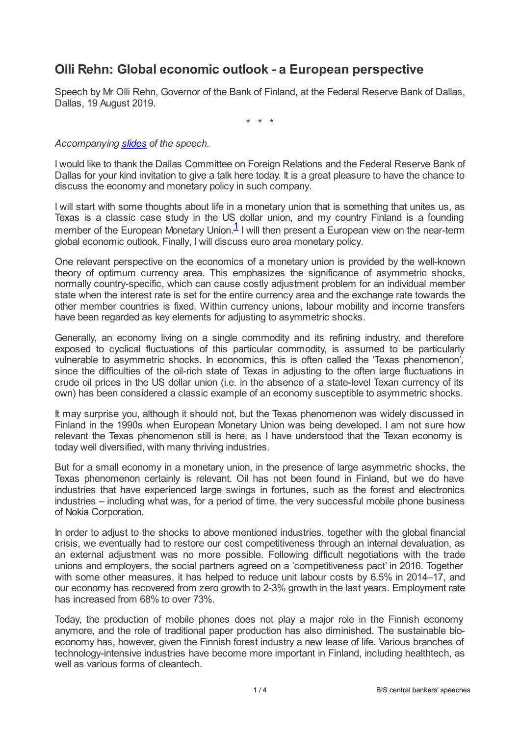# **Olli Rehn: Global economic outlook - a European perspective**

Speech by Mr Olli Rehn, Governor of the Bank of Finland, at the Federal Reserve Bank of Dallas, Dallas, 19 August 2019.

<span id="page-0-0"></span>\* \* \*

### *Accompanying [slides](www.bis.org/review/r190820c_slides.pdf) of the speech.*

I would like to thank the Dallas Committee on Foreign Relations and the Federal Reserve Bank of Dallas for your kind invitation to give a talk here today. It is a great pleasure to have the chance to discuss the economy and monetary policy in such company.

I will start with some thoughts about life in a monetary union that is something that unites us, as Texas is a classic case study in the US dollar union, and my country Finland is a founding member of the European Monetary Union.<sup>[1](#page-3-0)</sup> I will then present a European view on the near-term global economic outlook. Finally, I will discuss euro area monetary policy.

One relevant perspective on the economics of a monetary union is provided by the well-known theory of optimum currency area. This emphasizes the significance of asymmetric shocks, normally country-specific, which can cause costly adjustment problem for an individual member state when the interest rate is set for the entire currency area and the exchange rate towards the other member countries is fixed. Within currency unions, labour mobility and income transfers have been regarded as key elements for adjusting to asymmetric shocks.

Generally, an economy living on a single commodity and its refining industry, and therefore exposed to cyclical fluctuations of this particular commodity, is assumed to be particularly vulnerable to asymmetric shocks. In economics, this is often called the 'Texas phenomenon', since the difficulties of the oil-rich state of Texas in adjusting to the often large fluctuations in crude oil prices in the US dollar union (i.e. in the absence of a state-level Texan currency of its own) has been considered a classic example of an economy susceptible to asymmetric shocks.

It may surprise you, although it should not, but the Texas phenomenon was widely discussed in Finland in the 1990s when European Monetary Union was being developed. I am not sure how relevant the Texas phenomenon still is here, as I have understood that the Texan economy is today well diversified, with many thriving industries.

But for a small economy in a monetary union, in the presence of large asymmetric shocks, the Texas phenomenon certainly is relevant. Oil has not been found in Finland, but we do have industries that have experienced large swings in fortunes, such as the forest and electronics industries – including what was, for a period of time, the very successful mobile phone business of Nokia Corporation.

In order to adjust to the shocks to above mentioned industries, together with the global financial crisis, we eventually had to restore our cost competitiveness through an internal devaluation, as an external adjustment was no more possible. Following difficult negotiations with the trade unions and employers, the social partners agreed on a 'competitiveness pact' in 2016. Together with some other measures, it has helped to reduce unit labour costs by 6.5% in 2014–17, and our economy has recovered from zero growth to 2-3% growth in the last years. Employment rate has increased from 68% to over 73%.

Today, the production of mobile phones does not play a major role in the Finnish economy anymore, and the role of traditional paper production has also diminished. The sustainable bioeconomy has, however, given the Finnish forest industry a new lease of life. Various branches of technology-intensive industries have become more important in Finland, including healthtech, as well as various forms of cleantech.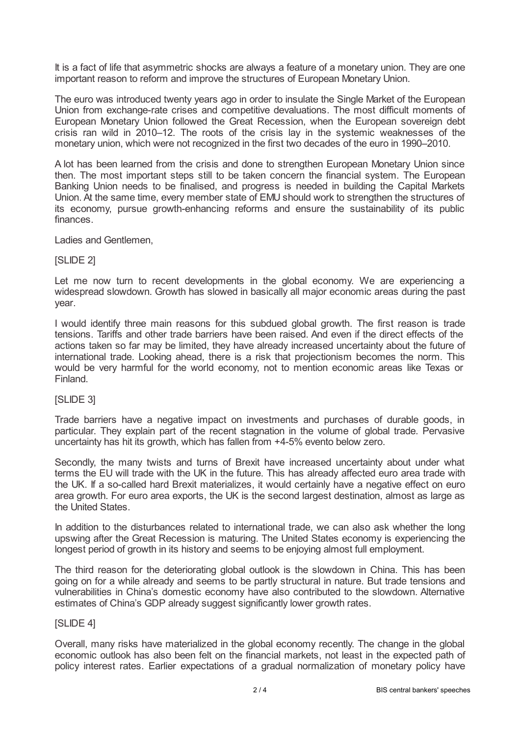It is a fact of life that asymmetric shocks are always a feature of a monetary union. They are one important reason to reform and improve the structures of European Monetary Union.

The euro was introduced twenty years ago in order to insulate the Single Market of the European Union from exchange-rate crises and competitive devaluations. The most difficult moments of European Monetary Union followed the Great Recession, when the European sovereign debt crisis ran wild in 2010–12. The roots of the crisis lay in the systemic weaknesses of the monetary union, which were not recognized in the first two decades of the euro in 1990–2010.

A lot has been learned from the crisis and done to strengthen European Monetary Union since then. The most important steps still to be taken concern the financial system. The European Banking Union needs to be finalised, and progress is needed in building the Capital Markets Union. At the same time, every member state of EMU should work to strengthen the structures of its economy, pursue growth-enhancing reforms and ensure the sustainability of its public finances.

Ladies and Gentlemen,

## [SLIDE 2]

Let me now turn to recent developments in the global economy. We are experiencing a widespread slowdown. Growth has slowed in basically all major economic areas during the past year.

I would identify three main reasons for this subdued global growth. The first reason is trade tensions. Tariffs and other trade barriers have been raised. And even if the direct effects of the actions taken so far may be limited, they have already increased uncertainty about the future of international trade. Looking ahead, there is a risk that projectionism becomes the norm. This would be very harmful for the world economy, not to mention economic areas like Texas or Finland.

## [SLIDE 3]

Trade barriers have a negative impact on investments and purchases of durable goods, in particular. They explain part of the recent stagnation in the volume of global trade. Pervasive uncertainty has hit its growth, which has fallen from +4-5% evento below zero.

Secondly, the many twists and turns of Brexit have increased uncertainty about under what terms the EU will trade with the UK in the future. This has already affected euro area trade with the UK. If a so-called hard Brexit materializes, it would certainly have a negative effect on euro area growth. For euro area exports, the UK is the second largest destination, almost as large as the United States.

In addition to the disturbances related to international trade, we can also ask whether the long upswing after the Great Recession is maturing. The United States economy is experiencing the longest period of growth in its history and seems to be enjoying almost full employment.

The third reason for the deteriorating global outlook is the slowdown in China. This has been going on for a while already and seems to be partly structural in nature. But trade tensions and vulnerabilities in China's domestic economy have also contributed to the slowdown. Alternative estimates of China's GDP already suggest significantly lower growth rates.

## [SLIDE 4]

Overall, many risks have materialized in the global economy recently. The change in the global economic outlook has also been felt on the financial markets, not least in the expected path of policy interest rates. Earlier expectations of a gradual normalization of monetary policy have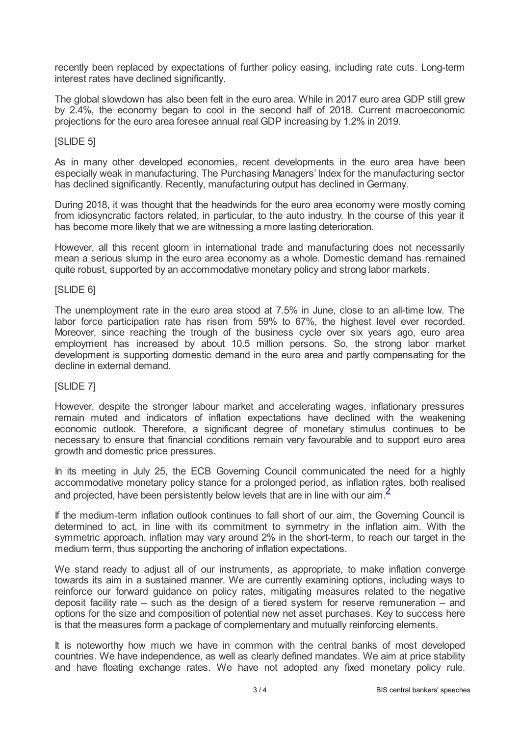recently been replaced by expectations of further policy easing, including rate cuts. Long-term interest rates have declined significantly.

The global slowdown has also been felt in the euro area. While in 2017 euro area GDP still grew by 2.4%, the economy began to cool in the second half of 2018. Current macroeconomic projections for the euro area foresee annual real GDP increasing by 1.2% in 2019.

## [SLIDE 5]

As in many other developed economies, recent developments in the euro area have been especially weak in manufacturing. The Purchasing Managers' Index for the manufacturing sector has declined significantly. Recently, manufacturing output has declined in Germany.

During 2018, it was thought that the headwinds for the euro area economy were mostly coming from idiosyncratic factors related, in particular, to the auto industry. In the course of this year it has become more likely that we are witnessing a more lasting deterioration.

However, all this recent gloom in international trade and manufacturing does not necessarily mean a serious slump in the euro area economy as a whole. Domestic demand has remained quite robust, supported by an accommodative monetary policy and strong labor markets.

## [SLIDE 6]

The unemployment rate in the euro area stood at 7.5% in June, close to an all-time low. The labor force participation rate has risen from 59% to 67%, the highest level ever recorded. Moreover, since reaching the trough of the business cycle over six years ago, euro area employment has increased by about 10.5 million persons. So, the strong labor market development is supporting domestic demand in the euro area and partly compensating for the decline in external demand.

## [SLIDE 7]

However, despite the stronger labour market and accelerating wages, inflationary pressures remain muted and indicators of inflation expectations have declined with the weakening economic outlook. Therefore, a significant degree of monetary stimulus continues to be necessary to ensure that financial conditions remain very favourable and to support euro area growth and domestic price pressures.

In its meeting in July 25, the ECB Governing Council communicated the need for a highly accommodative monetary policy stance for a prolonged period, as inflation rates, both realised and projected, have been persistently below levels that are in line with our aim  $\frac{2}{3}$  $\frac{2}{3}$  $\frac{2}{3}$ 

<span id="page-2-0"></span>If the medium-term inflation outlook continues to fall short of our aim, the Governing Council is determined to act, in line with its commitment to symmetry in the inflation aim. With the symmetric approach, inflation may vary around 2% in the short-term, to reach our target in the medium term, thus supporting the anchoring of inflation expectations.

We stand ready to adjust all of our instruments, as appropriate, to make inflation converge towards its aim in a sustained manner. We are currently examining options, including ways to reinforce our forward guidance on policy rates, mitigating measures related to the negative deposit facility rate – such as the design of a tiered system for reserve remuneration – and options for the size and composition of potential new net asset purchases. Key to success here is that the measures form a package of complementary and mutually reinforcing elements.

It is noteworthy how much we have in common with the central banks of most developed countries. We have independence, as well as clearly defined mandates. We aim at price stability and have floating exchange rates. We have not adopted any fixed monetary policy rule.